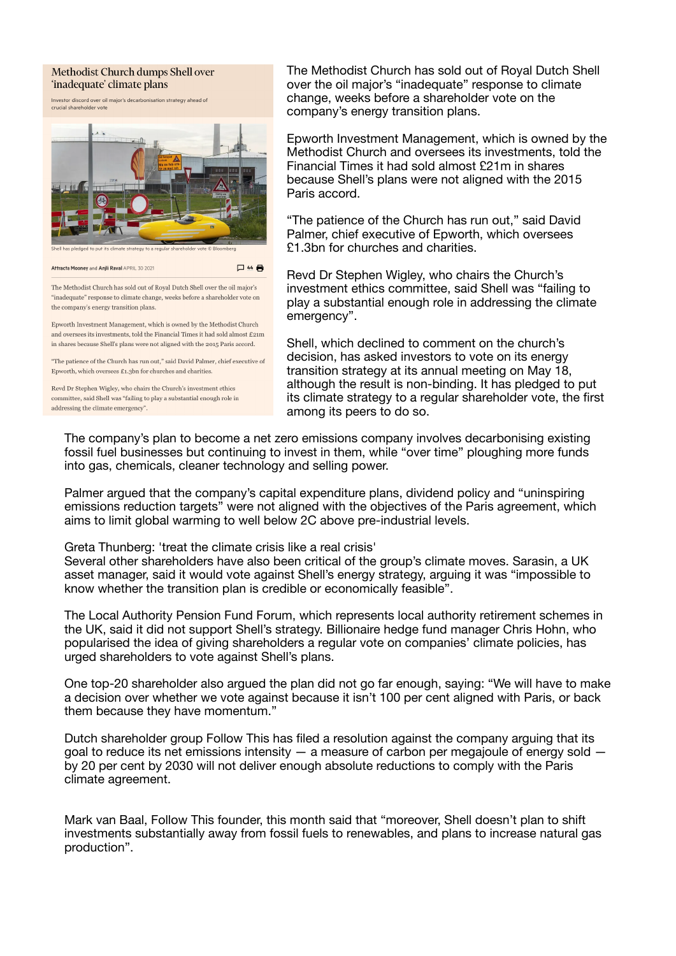## Methodist Church dumps Shell over 'inadequate' climate plans

Investor discord over oil major's decarbonisation strategy ahead of crucial shareholder vote



Attracta Mooney and Anjli Raval APRIL 30 2021 口 4 号

The Methodist Church has sold out of Royal Dutch Shell over the oil major's "inadequate" response to climate change, weeks before a shareholder vote on the company's energy transition plans.

Epworth Investment Management, which is owned by the Methodist Church and oversees its investments, told the Financial Times it had sold almost  $£21m$ in shares because Shell's plans were not aligned with the 2015 Paris accord.

"The patience of the Church has run out," said David Palmer, chief executive of Epworth, which oversees  $£1,3$  on for churches and charities.

Revd Dr Stephen Wigley, who chairs the Church's investment ethics committee, said Shell was "failing to play a substantial enough role in addressing the climate emergency"

The Methodist Church has sold out of Royal Dutch Shell over the oil major's "inadequate" response to climate change, weeks before a shareholder vote on the company's energy transition plans.

Epworth Investment Management, which is owned by the Methodist Church and oversees its investments, told the Financial Times it had sold almost £21m in shares because Shell's plans were not aligned with the 2015 Paris accord.

"The patience of the Church has run out," said David Palmer, chief executive of Epworth, which oversees £1.3bn for churches and charities.

Revd Dr Stephen Wigley, who chairs the Church's investment ethics committee, said Shell was "failing to play a substantial enough role in addressing the climate emergency".

Shell, which declined to comment on the church's decision, has asked investors to vote on its energy transition strategy at its annual meeting on May 18, although the result is non-binding. It has pledged to put its climate strategy to a regular shareholder vote, the first among its peers to do so.

The company's plan to become a net zero emissions company involves decarbonising existing fossil fuel businesses but continuing to invest in them, while "over time" ploughing more funds into gas, chemicals, cleaner technology and selling power.

Palmer argued that the company's capital expenditure plans, dividend policy and "uninspiring emissions reduction targets" were not aligned with the objectives of the Paris agreement, which aims to limit global warming to well below 2C above pre-industrial levels.

Greta Thunberg: 'treat the climate crisis like a real crisis'

Several other shareholders have also been critical of the group's climate moves. Sarasin, a UK asset manager, said it would vote against Shell's energy strategy, arguing it was "impossible to know whether the transition plan is credible or economically feasible".

The Local Authority Pension Fund Forum, which represents local authority retirement schemes in the UK, said it did not support Shell's strategy. Billionaire hedge fund manager Chris Hohn, who popularised the idea of giving shareholders a regular vote on companies' climate policies, has urged shareholders to vote against Shell's plans.

One top-20 shareholder also argued the plan did not go far enough, saying: "We will have to make a decision over whether we vote against because it isn't 100 per cent aligned with Paris, or back them because they have momentum."

Dutch shareholder group Follow This has filed a resolution against the company arguing that its goal to reduce its net emissions intensity  $-$  a measure of carbon per megajoule of energy sold  $$ by 20 per cent by 2030 will not deliver enough absolute reductions to comply with the Paris climate agreement.

Mark van Baal, Follow This founder, this month said that "moreover, Shell doesn't plan to shift investments substantially away from fossil fuels to renewables, and plans to increase natural gas production".